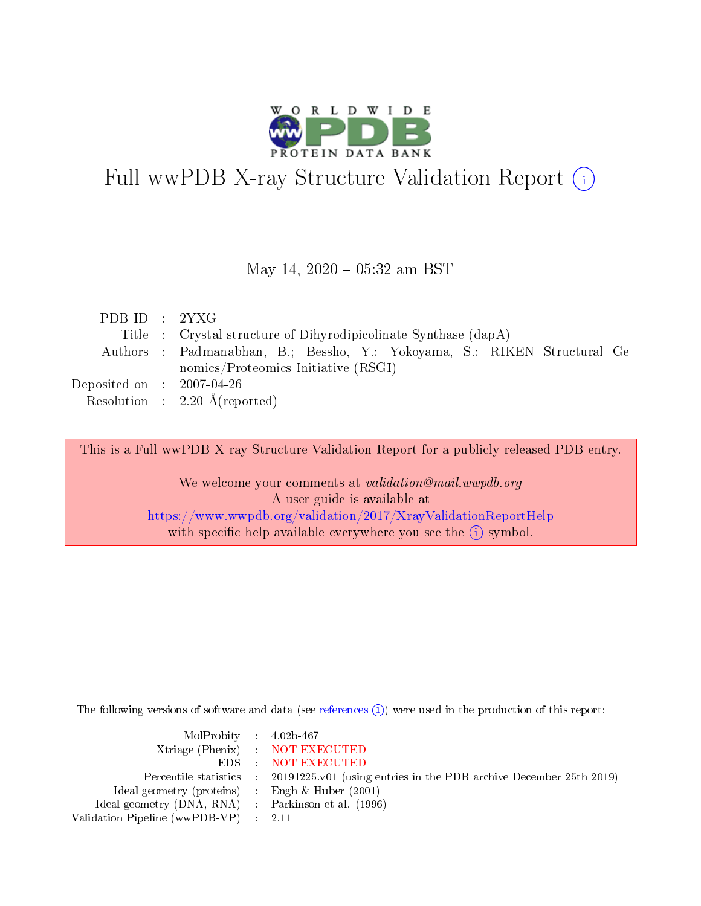

# Full wwPDB X-ray Structure Validation Report (i)

#### May 14,  $2020 - 05:32$  am BST

| PDB ID : $2YXG$                |                                                                           |  |  |  |  |  |  |
|--------------------------------|---------------------------------------------------------------------------|--|--|--|--|--|--|
|                                | Title : Crystal structure of Dihyrodipicolinate Synthase (dapA)           |  |  |  |  |  |  |
|                                | Authors : Padmanabhan, B.; Bessho, Y.; Yokoyama, S.; RIKEN Structural Ge- |  |  |  |  |  |  |
|                                | nomics/Proteomics Initiative (RSGI)                                       |  |  |  |  |  |  |
| Deposited on $\,$ : 2007-04-26 |                                                                           |  |  |  |  |  |  |
|                                | Resolution : $2.20 \text{ Å}$ (reported)                                  |  |  |  |  |  |  |

This is a Full wwPDB X-ray Structure Validation Report for a publicly released PDB entry.

We welcome your comments at validation@mail.wwpdb.org A user guide is available at <https://www.wwpdb.org/validation/2017/XrayValidationReportHelp> with specific help available everywhere you see the  $(i)$  symbol.

The following versions of software and data (see [references](https://www.wwpdb.org/validation/2017/XrayValidationReportHelp#references)  $\overline{(1)}$ ) were used in the production of this report:

| $MolProbability$ 4.02b-467                          |                                                                    |
|-----------------------------------------------------|--------------------------------------------------------------------|
|                                                     | Xtriage (Phenix) NOT EXECUTED                                      |
|                                                     | EDS : NOT EXECUTED                                                 |
| Percentile statistics :                             | 20191225.v01 (using entries in the PDB archive December 25th 2019) |
| Ideal geometry (proteins) :                         | Engh $\&$ Huber (2001)                                             |
| Ideal geometry (DNA, RNA) : Parkinson et al. (1996) |                                                                    |
| Validation Pipeline (wwPDB-VP) : 2.11               |                                                                    |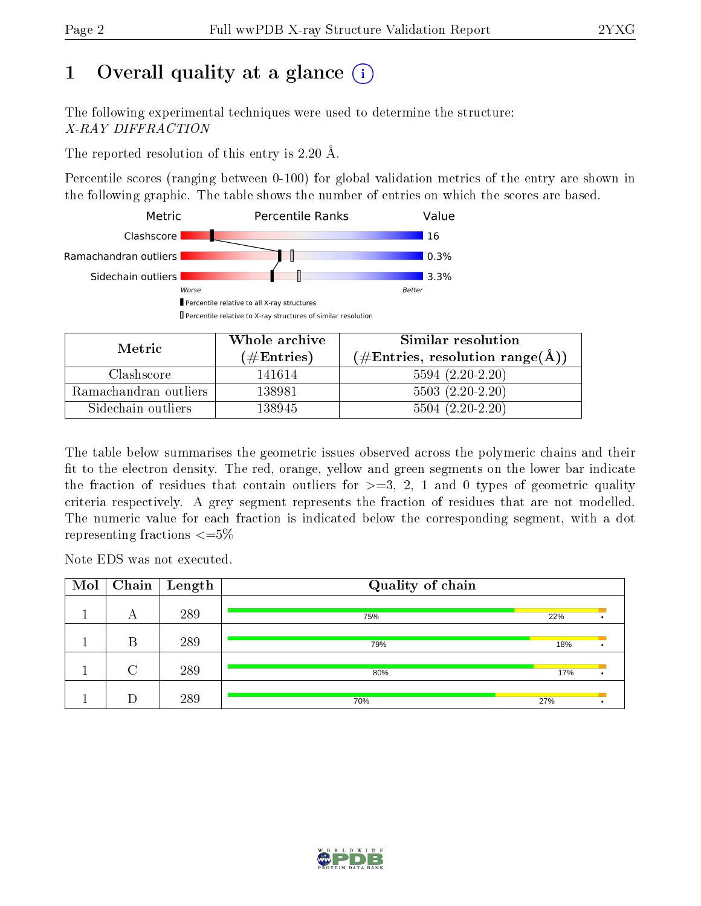# 1 [O](https://www.wwpdb.org/validation/2017/XrayValidationReportHelp#overall_quality)verall quality at a glance  $(i)$

The following experimental techniques were used to determine the structure: X-RAY DIFFRACTION

The reported resolution of this entry is 2.20 Å.

Percentile scores (ranging between 0-100) for global validation metrics of the entry are shown in the following graphic. The table shows the number of entries on which the scores are based.



| Metric                | Whole archive       | Similar resolution                                       |  |  |
|-----------------------|---------------------|----------------------------------------------------------|--|--|
|                       | (# $\rm{Entries}$ ) | $(\#\text{Entries}, \text{resolution range}(\text{\AA})$ |  |  |
| Clashscore            | 141614              | $5594(2.20-2.20)$                                        |  |  |
| Ramachandran outliers | 138981              | $5503(2.20-2.20)$                                        |  |  |
| Sidechain outliers    | 138945              | $5504(2.20-2.20)$                                        |  |  |

The table below summarises the geometric issues observed across the polymeric chains and their fit to the electron density. The red, orange, yellow and green segments on the lower bar indicate the fraction of residues that contain outliers for  $\geq=3$ , 2, 1 and 0 types of geometric quality criteria respectively. A grey segment represents the fraction of residues that are not modelled. The numeric value for each fraction is indicated below the corresponding segment, with a dot representing fractions  $\leq=5\%$ 

Note EDS was not executed.

| Mol | Chain  | $\mid$ Length | Quality of chain |     |  |
|-----|--------|---------------|------------------|-----|--|
|     | А      | 289           | 75%              | 22% |  |
|     | В      | 289           | 79%              | 18% |  |
|     | $\cap$ | 289           | 80%              | 17% |  |
|     |        | 289           | 70%              | 27% |  |

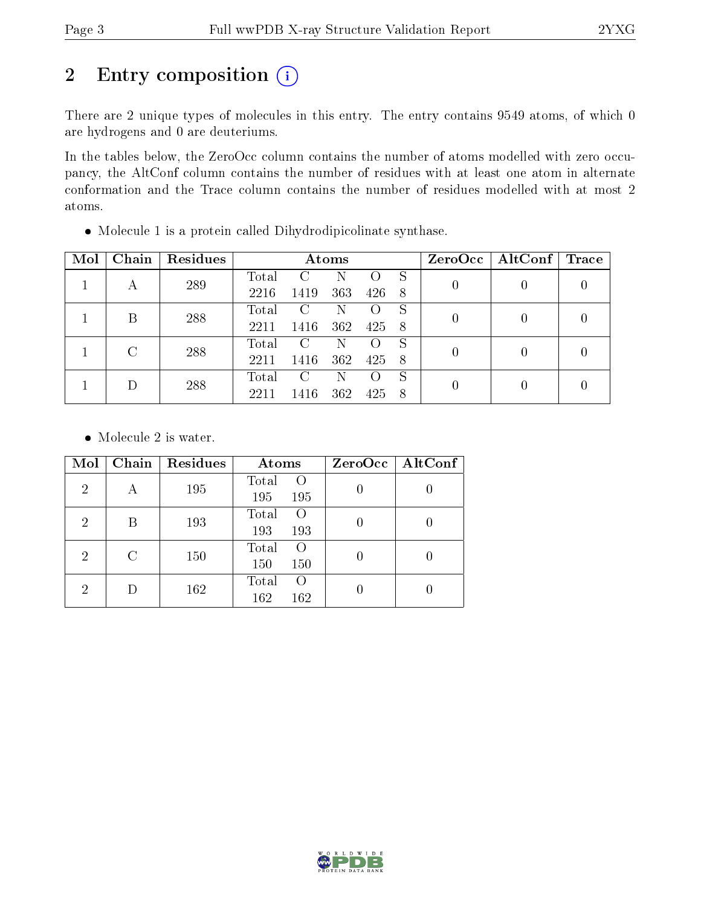# 2 Entry composition (i)

There are 2 unique types of molecules in this entry. The entry contains 9549 atoms, of which 0 are hydrogens and 0 are deuteriums.

In the tables below, the ZeroOcc column contains the number of atoms modelled with zero occupancy, the AltConf column contains the number of residues with at least one atom in alternate conformation and the Trace column contains the number of residues modelled with at most 2 atoms.

 $2211$  1416 362 425 8 0 0 0

| Mol | Chain | Residues |       |               | Atoms |     |  | ZeroOcc   AltConf   Trace |   |
|-----|-------|----------|-------|---------------|-------|-----|--|---------------------------|---|
|     |       | 289      | Total | $\mathcal{C}$ | N     |     |  |                           | 0 |
|     |       |          | 2216  | 1419          | 363   | 426 |  |                           |   |
|     |       | 288      | Total | C.            | N     |     |  |                           |   |
|     |       | 2211     | 1416  | 362           | 425   |     |  |                           |   |
|     |       | 288      | Total | C             | N     |     |  |                           |   |
|     |       | 2211     | 1416  | 362           | 425.  |     |  |                           |   |

Molecule 1 is a protein called Dihydrodipicolinate synthase.

• Molecule 2 is water.

| Mol            | Chain | Residues | Atoms                     | ZeroOcc   AltConf |  |  |
|----------------|-------|----------|---------------------------|-------------------|--|--|
| $\overline{2}$ | А     | 195      | Total<br>$\left($         |                   |  |  |
|                |       |          | 195<br>195                |                   |  |  |
| $\overline{2}$ | В     | 193      | Total<br>$\left( \right)$ |                   |  |  |
|                |       |          | 193<br>193                |                   |  |  |
| $\overline{2}$ | С     | 150      | Total<br>$\left( \right)$ |                   |  |  |
|                |       |          | 150<br>150                |                   |  |  |
| 2              |       | 162      | Total<br>$\left( \right)$ |                   |  |  |
|                |       |          |                           | 162<br>162        |  |  |

 $1$  D  $288$  Total C N O S

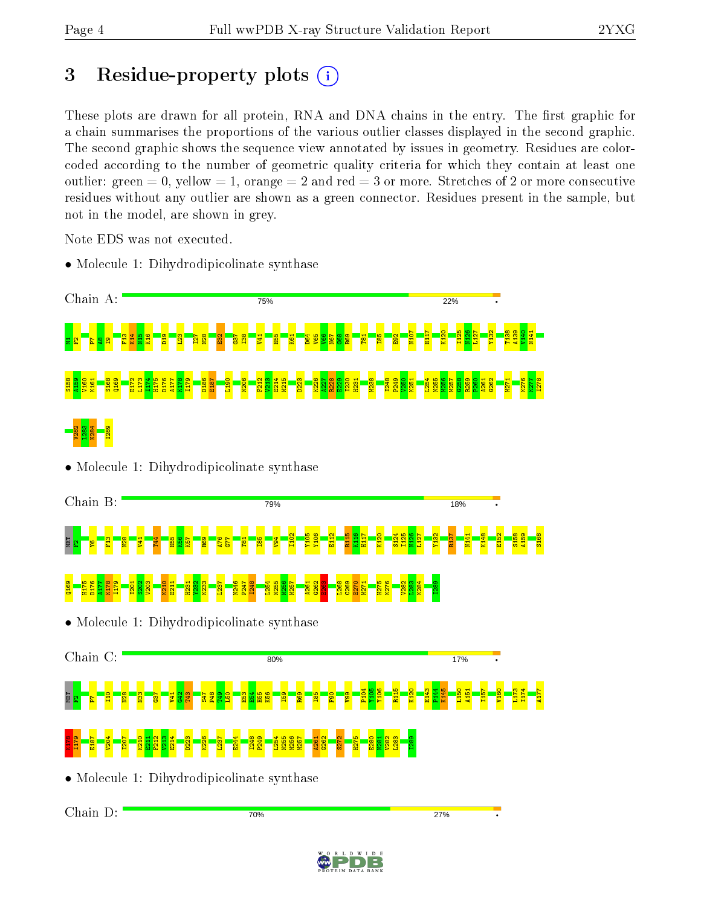# 3 Residue-property plots  $(i)$

These plots are drawn for all protein, RNA and DNA chains in the entry. The first graphic for a chain summarises the proportions of the various outlier classes displayed in the second graphic. The second graphic shows the sequence view annotated by issues in geometry. Residues are colorcoded according to the number of geometric quality criteria for which they contain at least one outlier: green  $= 0$ , yellow  $= 1$ , orange  $= 2$  and red  $= 3$  or more. Stretches of 2 or more consecutive residues without any outlier are shown as a green connector. Residues present in the sample, but not in the model, are shown in grey.

Note EDS was not executed.

• Molecule 1: Dihydrodipicolinate synthase



• Molecule 1: Dihydrodipicolinate synthase





• Molecule 1: Dihydrodipicolinate synthase

Chain D:70% 27%

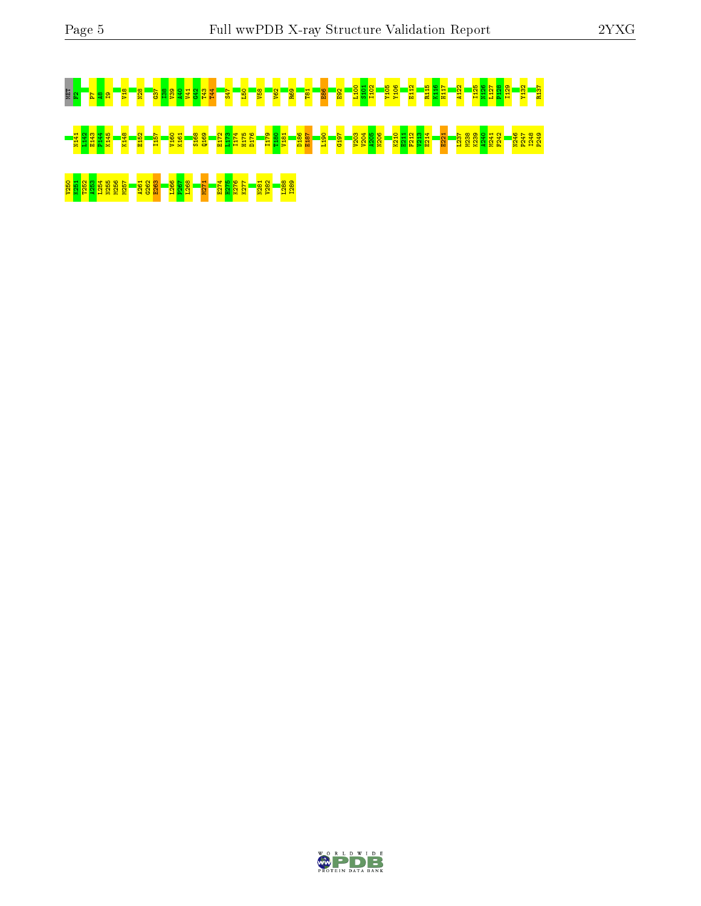# MET <mark>F2P7A8I S42 T52 G38 G37 38 A40 Y10 S101 Y10 S101 A40 S101 A40 S101 A40 S101 A40 A40 A40 A40 A40 A40 A40 A40 A<br>E8 2 L10 A40 B2 B3 B3 G37 S28 A40 A5 B3 B3 A120 A40 A50 A50 A40 A50 A40 A50 A40 A40 A40 A40 A40 A40 A40 A40</mark> N141 L142 E143 P144 K145 K148 E152 I157 V160 K161 S168 Q169 E172 L173 I174 H175 D176 I179 T180 V181 D186 E187 L190 G197 V203 V204 A205 N206 K210 E211 F212 V213 E214 E221 L237 M238 K239 A240 M241 F242 N246 P247 I248 P249 226 K251 A252 A263 L255 A261 A261 A261 E274 K276 E274 H276 B27<br><mark>8 A26 8 A26 8 P26 B<sup>2</sup>8 B<sup>2</sup>6 B<sup>2</sup>6 F2 P<sub>4</sub> K<sub>2</sub> F<sub>2</sub> B<sub>2</sub>8 H<sub>28</sub>8 P<sub>8</sub></mark>

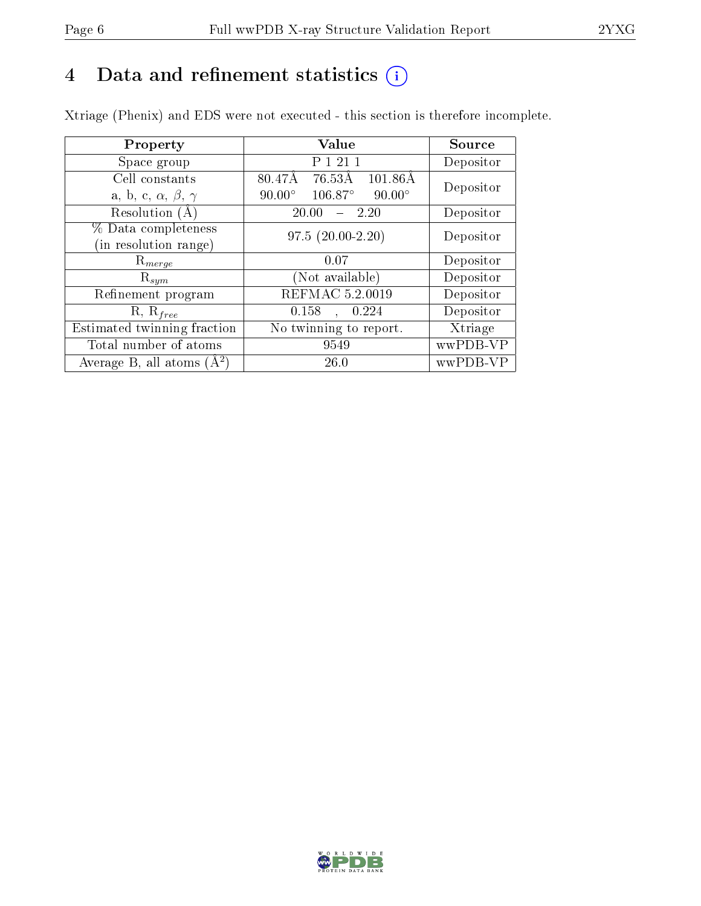# 4 Data and refinement statistics  $(i)$

Xtriage (Phenix) and EDS were not executed - this section is therefore incomplete.

| Property                               | Value                                              | Source    |  |
|----------------------------------------|----------------------------------------------------|-----------|--|
| Space group                            | P 1 21 1                                           | Depositor |  |
| Cell constants                         | $80.47\text{\AA}$<br>76.53Å<br>$101.86\text{\AA}$  | Depositor |  |
| a, b, c, $\alpha$ , $\beta$ , $\gamma$ | $106.87^{\circ}$<br>$90.00^\circ$<br>$90.00^\circ$ |           |  |
| Resolution $(A)$                       | 20.00<br>- 2.20                                    | Depositor |  |
| % Data completeness                    | $97.5(20.00-2.20)$                                 | Depositor |  |
| (in resolution range)                  |                                                    |           |  |
| $\mathrm{R}_{merge}$                   | 0.07                                               | Depositor |  |
| $\mathrm{R}_{sym}$                     | (Not available)                                    | Depositor |  |
| Refinement program                     | REFMAC 5.2.0019                                    | Depositor |  |
| $R, R_{free}$                          | 0.158<br>0.224<br>$\ddot{\phantom{a}}$             | Depositor |  |
| Estimated twinning fraction            | No twinning to report.                             | Xtriage   |  |
| Total number of atoms                  | 9549                                               | wwPDB-VP  |  |
| Average B, all atoms $(A^2)$           | 26.0                                               | wwPDB-VP  |  |

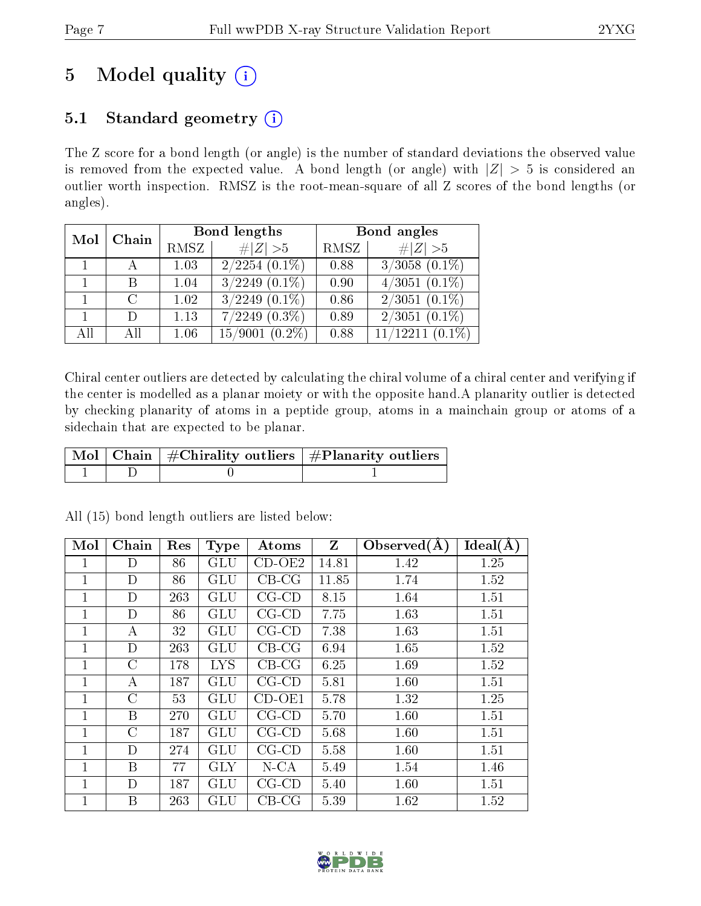# 5 Model quality  $(i)$

# 5.1 Standard geometry  $(i)$

The Z score for a bond length (or angle) is the number of standard deviations the observed value is removed from the expected value. A bond length (or angle) with  $|Z| > 5$  is considered an outlier worth inspection. RMSZ is the root-mean-square of all Z scores of the bond lengths (or angles).

| Mol            | Chain         |      | Bond lengths                | Bond angles |                      |  |
|----------------|---------------|------|-----------------------------|-------------|----------------------|--|
|                |               | RMSZ | $\ Z\  > 5$                 | RMSZ        | # $ Z >5$            |  |
| $\overline{1}$ |               | 1.03 | $2/2\overline{254 (0.1\%)}$ | 0.88        | $3/3058$ $(0.1\%)$   |  |
|                | В             | 1.04 | $3/2249$ $(0.1\%)$          | 0.90        | $4/3051$ $(0.1\%)$   |  |
|                | $\mathcal{C}$ | 1.02 | $3/2249$ $(0.1\%)$          | 0.86        | $2/3051(0.1\%)$      |  |
|                | $\mathbf{D}$  | 1.13 | $7/2249$ $(0.3\%)$          | 0.89        | $2/3051$ $(0.1\%)$   |  |
| All            | АH            | 1.06 | $15/9001$ $(0.2\%)$         | 0.88        | $11/12211$ $(0.1\%)$ |  |

Chiral center outliers are detected by calculating the chiral volume of a chiral center and verifying if the center is modelled as a planar moiety or with the opposite hand.A planarity outlier is detected by checking planarity of atoms in a peptide group, atoms in a mainchain group or atoms of a sidechain that are expected to be planar.

|  | $\mid$ Mol $\mid$ Chain $\mid$ #Chirality outliers $\mid$ #Planarity outliers $\mid$ |
|--|--------------------------------------------------------------------------------------|
|  |                                                                                      |

| Mol          | Chain         | Res | <b>Type</b> | Atoms       | $\mathbf{Z}$ | Observed $(A)$ | $Ideal(\AA)$ |
|--------------|---------------|-----|-------------|-------------|--------------|----------------|--------------|
|              | D             | 86  | GLU         | $CD-OE2$    | 14.81        | 1.42           | 1.25         |
| 1            | D             | 86  | GLU         | $CB-CG$     | 11.85        | 1.74           | 1.52         |
| 1            | D             | 263 | GLU         | $CG$ - $CD$ | 8.15         | 1.64           | 1.51         |
| $\mathbf{1}$ | D             | 86  | <b>GLU</b>  | $CG$ - $CD$ | 7.75         | 1.63           | 1.51         |
| 1            | А             | 32  | GLU         | $CG$ - $CD$ | 7.38         | 1.63           | 1.51         |
| $\mathbf{1}$ | D             | 263 | GLU         | $CB-CG$     | 6.94         | 1.65           | 1.52         |
| $\mathbf{1}$ | С             | 178 | <b>LYS</b>  | $CB-CG$     | 6.25         | 1.69           | 1.52         |
| 1            | A             | 187 | <b>GLU</b>  | $CG$ - $CD$ | 5.81         | 1.60           | 1.51         |
| 1            | $\mathcal{C}$ | 53  | GLU         | $CD-OE1$    | 5.78         | 1.32           | 1.25         |
| $\mathbf{1}$ | B             | 270 | GLU         | $CG$ - $CD$ | 5.70         | 1.60           | 1.51         |
| 1            | C             | 187 | GLU         | $CG$ - $CD$ | 5.68         | 1.60           | 1.51         |
| 1            | D             | 274 | GLU         | $CG$ - $CD$ | 5.58         | 1.60           | 1.51         |
| 1            | B             | 77  | <b>GLY</b>  | $N$ -CA     | 5.49         | 1.54           | 1.46         |
| 1            | D             | 187 | GLU         | $CG$ - $CD$ | 5.40         | 1.60           | 1.51         |
| 1            | B             | 263 | GLU         | $CB-CG$     | 5.39         | 1.62           | 1.52         |

All (15) bond length outliers are listed below:

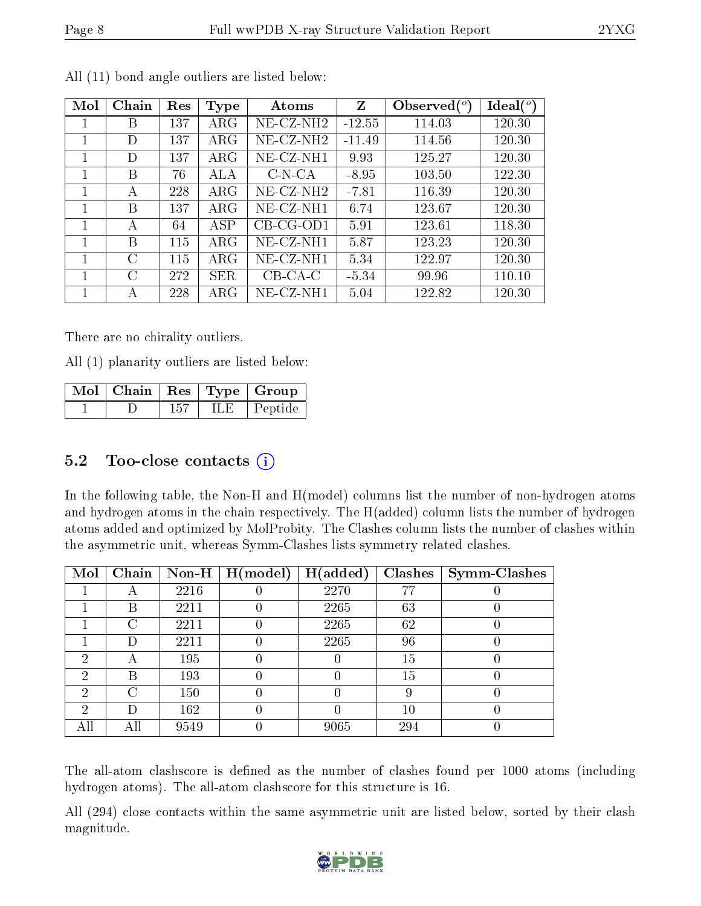| Mol          | Chain     | Res | <b>Type</b> | Atoms                 | Z        | Observed $(°)$ | Ideal (°) |
|--------------|-----------|-----|-------------|-----------------------|----------|----------------|-----------|
| $\mathbf{I}$ | В         | 137 | $\rm{ARG}$  | NE-CZ-NH2             | $-12.55$ | 114.03         | 120.30    |
|              | D         | 137 | $\rm{ARG}$  | $NE- CZ-NH2$          | $-11.49$ | 114.56         | 120.30    |
|              | D         | 137 | $\rm{ARG}$  | NE-CZ-NH1             | 9.93     | 125.27         | 120.30    |
|              | В         | 76  | ALA         | $C-N-CA$              | $-8.95$  | 103.50         | 122.30    |
|              | A         | 228 | $\rm{ARG}$  | NE-CZ-NH2             | $-7.81$  | 116.39         | 120.30    |
|              | В         | 137 | $\rm{ARG}$  | NE-CZ-NH1             | 6.74     | 123.67         | 120.30    |
| 1            | А         | 64  | ASP         | $CB-CG-OD1$           | 5.91     | 123.61         | 118.30    |
| 1            | В         | 115 | $\rm{ARG}$  | $NE- CZ-NH1$          | 5.87     | 123.23         | 120.30    |
| 1            | C         | 115 | $\rm{ARG}$  | $NE- CZ-NH1$          | 5.34     | 122.97         | 120.30    |
| 1            | $\bigcap$ | 272 | <b>SER</b>  | $\overline{C}$ B-CA-C | $-5.34$  | 99.96          | 110.10    |
|              | А         | 228 | ${\rm ARG}$ | $NE$ -CZ-NH1          | 5.04     | 122.82         | 120.30    |

All (11) bond angle outliers are listed below:

There are no chirality outliers.

All (1) planarity outliers are listed below:

|  |     |       | $\lceil \overline{\text{Mol}} \rceil$ Chain   Res   Type   Group |
|--|-----|-------|------------------------------------------------------------------|
|  | 157 | ILE - | Peptide                                                          |

## 5.2 Too-close contacts  $(i)$

In the following table, the Non-H and H(model) columns list the number of non-hydrogen atoms and hydrogen atoms in the chain respectively. The H(added) column lists the number of hydrogen atoms added and optimized by MolProbity. The Clashes column lists the number of clashes within the asymmetric unit, whereas Symm-Clashes lists symmetry related clashes.

| Mol           | Chain |      | Non-H $\mid$ H(model) | H(added) | <b>Clashes</b> | <b>Symm-Clashes</b> |
|---------------|-------|------|-----------------------|----------|----------------|---------------------|
|               |       | 2216 |                       | 2270     | 77             |                     |
|               | В     | 2211 |                       | 2265     | 63             |                     |
|               | ⊖     | 2211 |                       | 2265     | 62             |                     |
|               |       | 2211 |                       | 2265     | 96             |                     |
| 2             | A     | 195  |                       |          | 15             |                     |
| $\mathcal{D}$ | В     | 193  |                       |          | 15             |                     |
| റ             | 0     | 150  |                       |          | 9              |                     |
| $\mathcal{D}$ | D     | 162  |                       |          | $10\,$         |                     |
|               | All   | 9549 |                       | 9065     | 294            |                     |

The all-atom clashscore is defined as the number of clashes found per 1000 atoms (including hydrogen atoms). The all-atom clashscore for this structure is 16.

All (294) close contacts within the same asymmetric unit are listed below, sorted by their clash magnitude.

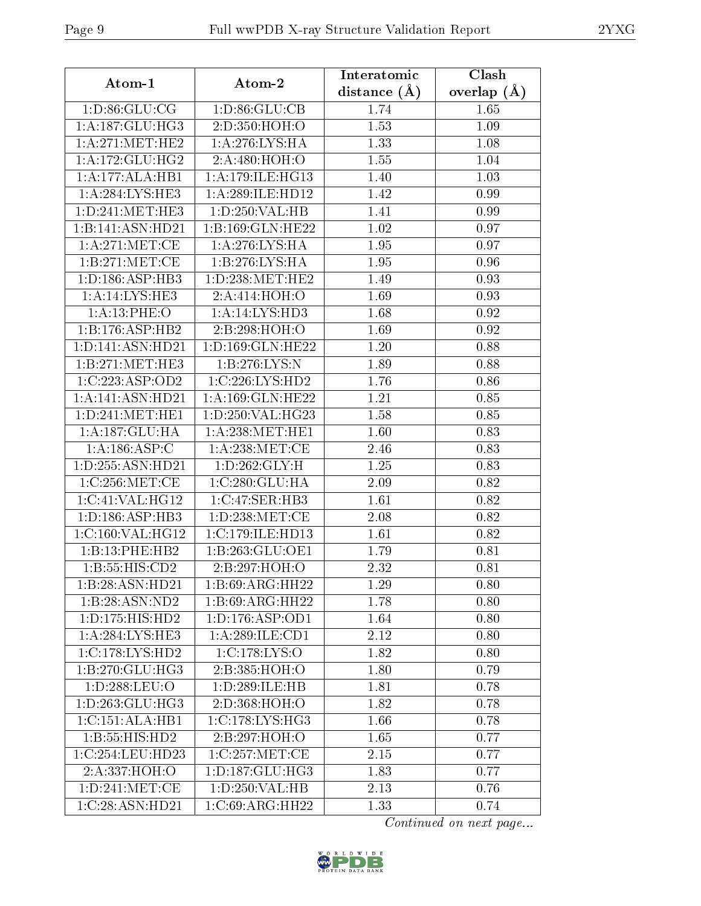| Atom-1                       | Atom-2              | Interatomic    | Clash         |
|------------------------------|---------------------|----------------|---------------|
|                              |                     | distance $(A)$ | overlap $(A)$ |
| 1: D:86: GLU:CG              | 1: D:86: GLU:CB     | 1.74           | 1.65          |
| 1: A: 187: GLU: HG3          | 2:D:350:HOH:O       | 1.53           | 1.09          |
| 1:A:271:MET:HE2              | 1: A:276: LYS: HA   | 1.33           | 1.08          |
| 1: A:172: GLU: HG2           | 2:A:480:HOH:O       | 1.55           | 1.04          |
| 1:A:177:ALA:HB1              | 1: A:179: ILE: HG13 | 1.40           | 1.03          |
| 1: A:284:LYS:HE3             | 1:A:289:ILE:HD12    | 1.42           | 0.99          |
| 1: D:241: MET:HE3            | 1: D: 250: VAL: HB  | 1.41           | 0.99          |
| 1:B:141:ASN:HD21             | 1:B:169:GLN:HE22    | 1.02           | 0.97          |
| 1: A:271: MET:CE             | 1: A:276:LYS:HA     | 1.95           | 0.97          |
| 1: B:271:MET:CE              | 1:B:276:LYS:HA      | 1.95           | 0.96          |
| 1: D: 186: ASP: HB3          | 1: D: 238: MET: HE2 | 1.49           | 0.93          |
| 1:A:14:LYS:HE3               | 2:A:414:HOH:O       | 1.69           | 0.93          |
| 1:A:13:PHE:O                 | 1:A:14:LYS:HD3      | 1.68           | 0.92          |
| 1:B:176:ASP:HB2              | 2:B:298:HOH:O       | 1.69           | 0.92          |
| 1:D:141:ASN:HD21             | 1:D:169:GLN:HE22    | 1.20           | 0.88          |
| 1:B:271:MET:HE3              | 1:B:276:LYS:N       | 1.89           | 0.88          |
| 1:C:223:ASP:OD2              | 1:C:226:LYS:HD2     | 1.76           | 0.86          |
| 1:A:141:ASN:HD21             | 1:A:169:GLN:HE22    | 1.21           | 0.85          |
| 1: D: 241: MET: HE1          | 1:D:250:VAL:HG23    | 1.58           | 0.85          |
| 1: A: 187: GLU: HA           | 1: A:238: MET:HE1   | 1.60           | 0.83          |
| 1: A: 186: ASP: C            | 1: A:238:MET:CE     | 2.46           | 0.83          |
| 1:D:255:ASN:HD21             | 1:D:262:GLY:H       | 1.25           | 0.83          |
| 1:C:256:MET:CE               | 1:C:280:GLU:HA      | 2.09           | 0.82          |
| 1:C:41:VAL:HG12              | 1:C:47:SER:HB3      | 1.61           | 0.82          |
| 1:D:186:ASP:HB3              | 1:D:238:MET:CE      | 2.08           | 0.82          |
| 1:C:160:VAL:HG12             | 1:C:179:ILE:HD13    | 1.61           | 0.82          |
| 1:B:13:PHE:HB2               | 1:B:263:GLU:OE1     | 1.79           | 0.81          |
| 1:B:55:HIS:CD2               | 2:B:297:HOH:O       | 2.32           | 0.81          |
| 1:B:28:ASN:HD21              | 1:B:69:ARG:HH22     | 1.29           | 0.80          |
| 1:B:28:ASN:ND2               | 1:B:69:ARG:HH22     | 1.78           | 0.80          |
| 1: D: 175: HIS: HD2          | 1: D: 176: ASP: OD1 | 1.64           | 0.80          |
| 1: A:284:LYS:HE3             | 1:A:289:ILE:CD1     | 2.12           | 0.80          |
| 1:C:178:LYS:HD2              | 1: C: 178: LYS: O   | 1.82           | 0.80          |
| 1:B:270:GLU:HG3              | 2:B:385:HOH:O       | 1.80           | 0.79          |
| 1:D:288:LEU:O                | 1:D:289:ILE:HB      | 1.81           | 0.78          |
| 1: D: 263: GLU: HG3          | 2:D:368:HOH:O       | 1.82           | 0.78          |
| $1:C:151:ALA:\overline{HB1}$ | 1:C:178:LYS:HG3     | 1.66           | 0.78          |
| 1:B:55:HIS:HD2               | 2:B:297:HOH:O       | 1.65           | 0.77          |
| 1:C:254:LEU:HD23             | 1:C:257:MET:CE      | 2.15           | 0.77          |
| 2:A:337:HOH:O                | 1:D:187:GLU:HG3     | 1.83           | 0.77          |
| 1: D: 241: MET:CE            | 1:D:250:VAL:HB      | 2.13           | 0.76          |
| 1:C:28:ASN:HD21              | 1:C:69:ARG:HH22     | 1.33           | 0.74          |

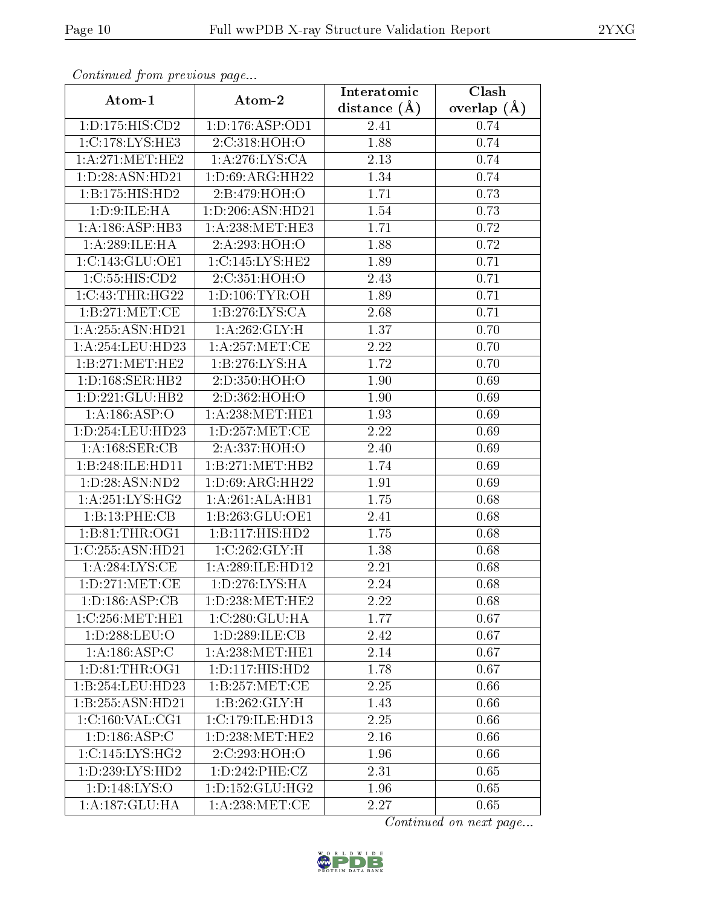| Commaca from previous page      |                     | Interatomic    | Clash         |
|---------------------------------|---------------------|----------------|---------------|
| Atom-1                          | Atom-2              | distance $(A)$ | overlap $(A)$ |
| 1:D:175:HIS:CD2                 | 1:D:176:ASP:OD1     | 2.41           | 0.74          |
| 1:C:178:LYS:HE3                 | 2:C:318:HOH:O       | 1.88           | 0.74          |
| 1: A:271:MET:HE2                | 1: A:276:LYS:CA     | 2.13           | 0.74          |
| 1:D:28:ASN:HD21                 | 1: D:69: ARG: HH22  | 1.34           | 0.74          |
| 1:B:175:HIS:HD2                 | 2:B:479:HOH:O       | 1.71           | 0.73          |
| 1: D:9: ILE: HA                 | 1:D:206:ASN:HD21    | 1.54           | 0.73          |
| 1: A:186: ASP:HB3               | 1: A:238: MET:HE3   | 1.71           | 0.72          |
| 1:A:289:ILE:HA                  | 2:A:293:HOH:O       | 1.88           | 0.72          |
| 1:C:143:GLU:OE1                 | 1:C:145:LYS:HE2     | 1.89           | 0.71          |
| 1:C:55:HIS:CD2                  | 2:C:351:HOH:O       | 2.43           | 0.71          |
| 1:C:43:THR:HG22                 | 1: D: 106: TYR: OH  | 1.89           | 0.71          |
| 1:B:271:MET:CE                  | 1: B: 276: LYS: CA  | 2.68           | 0.71          |
| 1:A:255:ASN:HD21                | 1: A:262: GLY:H     | 1.37           | 0.70          |
| 1: A:254:LEU:HD23               | 1: A:257: MET:CE    | 2.22           | 0.70          |
| 1:B:271:MET:HE2                 | 1:B:276:LYS:HA      | 1.72           | 0.70          |
| 1: D: 168: SER: HB2             | 2:D:350:HOH:O       | 1.90           | 0.69          |
| 1:D:221:GLU:HB2                 | 2: D: 362: HOH: O   | 1.90           | 0.69          |
| 1:A:186:ASP:O                   | 1: A:238: MET:HE1   | 1.93           | 0.69          |
| 1:D:254:LEU:HD23                | 1: D: 257: MET: CE  | 2.22           | 0.69          |
| 1:A:168:SER:CB                  | 2: A: 337: HOH: O   | 2.40           | 0.69          |
| 1:B:248:ILE:HD11                | 1:B:271:MET:HB2     | 1.74           | 0.69          |
| 1: D:28: ASN:ND2                | 1: D:69: ARG: HH22  | 1.91           | 0.69          |
| 1:A:251:LYS:HG2                 | 1:A:261:ALA:HB1     | 1.75           | 0.68          |
| 1:B:13:PHE:CB                   | 1:B:263:GLU:OE1     | 2.41           | 0.68          |
| 1:B:81:THR:OG1                  | 1:B:117:HIS:HD2     | 1.75           | 0.68          |
| 1:C:255:ASN:HD21                | 1:C:262:GLY:H       | 1.38           | 0.68          |
| 1: A:284:LYS:CE                 | 1:A:289:ILE:HD12    | 2.21           | 0.68          |
| 1: D: 271: MET:CE               | 1: D: 276: LYS: HA  | 2.24           | 0.68          |
| $1: D: 186: ASP: \overline{CB}$ | 1: D: 238: MET: HE2 | 2.22           | 0.68          |
| 1:C:256:MET:HE1                 | 1:C:280:GLU:HA      | 1.77           | 0.67          |
| 1:D:288:LEU:O                   | 1:D:289:ILE:CB      | 2.42           | 0.67          |
| 1:A:186:ASP:C                   | 1:A:238:MET:HE1     | 2.14           | 0.67          |
| 1: D: 81: THR: OG1              | 1: D: 117: HIS: HD2 | 1.78           | 0.67          |
| 1:B:254:LEU:HD23                | 1:B:257:MET:CE      | 2.25           | 0.66          |
| 1:B:255:ASN:HD21                | 1:B:262:GLY:H       | 1.43           | 0.66          |
| 1:C:160:VAL:CG1                 | 1:C:179:ILE:HD13    | 2.25           | 0.66          |
| 1: D: 186: ASP: C               | 1:D:238:MET:HE2     | 2.16           | 0.66          |
| 1:C:145:LYS:HG2                 | 2:C:293:HOH:O       | 1.96           | 0.66          |
| 1: D: 239: LYS: HD2             | 1: D: 242: PHE: CZ  | 2.31           | 0.65          |
| 1: D: 148: LYS: O               | 1: D: 152: GLU: HG2 | 1.96           | 0.65          |
| 1:A:187:GLU:HA                  | 1:A:238:MET:CE      | 2.27           | 0.65          |

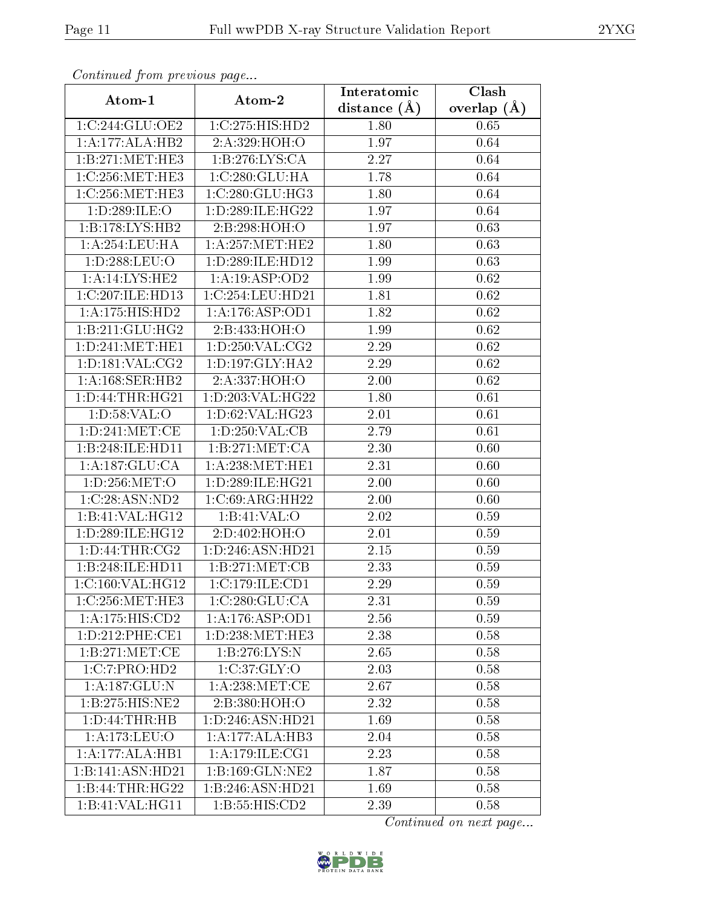|                             | сонинией јтоні ртеvious раде<br>Clash<br>Interatomic |                |               |  |
|-----------------------------|------------------------------------------------------|----------------|---------------|--|
| Atom-1                      | Atom-2                                               | distance $(A)$ | overlap $(A)$ |  |
| 1:C:244:GLU:OE2             | 1:C:275:HIS:HD2                                      | 1.80           | 0.65          |  |
| 1:A:177:ALA:HB2             | 2:A:329:HOH:O                                        | 1.97           | 0.64          |  |
| 1:B:271:MET:HE3             | 1:B:276:LYS:CA                                       | 2.27           | 0.64          |  |
| 1:C:256:MET:HE3             | 1:C:280:GLU:HA                                       | 1.78           | 0.64          |  |
| 1:C:256:MET:HE3             | 1:C:280:GLU:HG3                                      | 1.80           | 0.64          |  |
| 1:D:289:ILE:O               | 1: D: 289: ILE: HG22                                 | 1.97           | 0.64          |  |
| 1:B:178:LYS:HB2             | 2:B:298:HOH:O                                        | 1.97           | 0.63          |  |
| 1:A:254:LEU:HA              | 1: A:257: MET:HE2                                    | 1.80           | 0.63          |  |
| 1:D:288:LEU:O               | 1:D:289:ILE:HD12                                     | 1.99           | 0.63          |  |
| 1:A:14:LYS:HE2              | 1:A:19:ASP:OD2                                       | 1.99           | 0.62          |  |
| 1:C:207:ILE:HD13            | 1:C:254:LEU:HD21                                     | 1.81           | 0.62          |  |
| 1:A:175:HIS:HD2             | 1:A:176:ASP:OD1                                      | 1.82           | 0.62          |  |
| 1:B:211:GLU:HG2             | 2:B:433:HOH:O                                        | 1.99           | 0.62          |  |
| 1: D:241: MET:HE1           | 1: D: 250: VAL: CG2                                  | 2.29           | $0.62\,$      |  |
| 1: D: 181: VAL: CG2         | 1: D: 197: GLY: HA2                                  | 2.29           | 0.62          |  |
| 1:A:168:SER:HB2             | 2:A:337:HOH:O                                        | 2.00           | 0.62          |  |
| 1: D: 44: THR: HG21         | 1: D: 203: VAL:HG22                                  | 1.80           | 0.61          |  |
| 1: D:58: VAL:O              | 1:D:62:VAL:HG23                                      | 2.01           | 0.61          |  |
| 1:D:241:MET:CE              | 1: D: 250: VAL: CB                                   | 2.79           | 0.61          |  |
| 1:B:248:ILE:HD11            | 1:B:271:MET:CA                                       | 2.30           | 0.60          |  |
| 1:A:187:GLU:CA              | 1: A:238:MET:HE1                                     | 2.31           | 0.60          |  |
| 1:D:256:MET:O               | 1: D: 289: ILE: HG21                                 | 2.00           | 0.60          |  |
| 1:C:28:ASN:ND2              | 1:C:69:ARG:HH22                                      | $2.00\,$       | 0.60          |  |
| 1:B:41:VAL:H <sub>G12</sub> | 1:B:41:VAL:O                                         | 2.02           | 0.59          |  |
| 1:D:289:ILE:HG12            | 2:D:402:HOH:O                                        | 2.01           | 0.59          |  |
| 1: D: 44: THR: CG2          | 1:D:246:ASN:HD21                                     | 2.15           | 0.59          |  |
| 1:B:248:ILE:HD11            | 1:B:271:MET:CB                                       | 2.33           | 0.59          |  |
| 1:C:160:VAL:HG12            | 1:C:179:ILE:CD1                                      | 2.29           | 0.59          |  |
| 1:C:256:MET:HE3             | 1:C:280:GLU:CA                                       | 2.31           | 0.59          |  |
| 1:A:175:HIS:CD2             | 1: A: 176: ASP: OD1                                  | 2.56           | 0.59          |  |
| 1: D:212: PHE:CE1           | 1:D:238:MET:HE3                                      | 2.38           | 0.58          |  |
| 1: B: 271: MET:CE           | 1:B:276:LYS:N                                        | 2.65           | 0.58          |  |
| 1:C:7:PRO:HD2               | 1:C:37:GLY:O                                         | 2.03           | 0.58          |  |
| 1:A:187:GLU:N               | 1: A:238: MET:CE                                     | 2.67           | 0.58          |  |
| 1:B:275:HIS:NE2             | 2:B:380:HOH:O                                        | 2.32           | 0.58          |  |
| 1: D: 44: THR: HB           | 1: D: 246: ASN: HD21                                 | 1.69           | 0.58          |  |
| 1: A:173: LEU:O             | 1:A:177:ALA:HB3                                      | 2.04           | 0.58          |  |
| 1:A:177:ALA:HB1             | 1: A:179: ILE: CG1                                   | 2.23           | 0.58          |  |
| 1:B:141:ASN:HD21            | 1:B:169:GLN:NE2                                      | 1.87           | 0.58          |  |
| 1:B:44:THR:HG22             | 1:B:246:ASN:HD21                                     | 1.69           | 0.58          |  |
| 1:B:41:VAL:H <sub>G11</sub> | 1:B:55:HIS:CD2                                       | 2.39           | 0.58          |  |

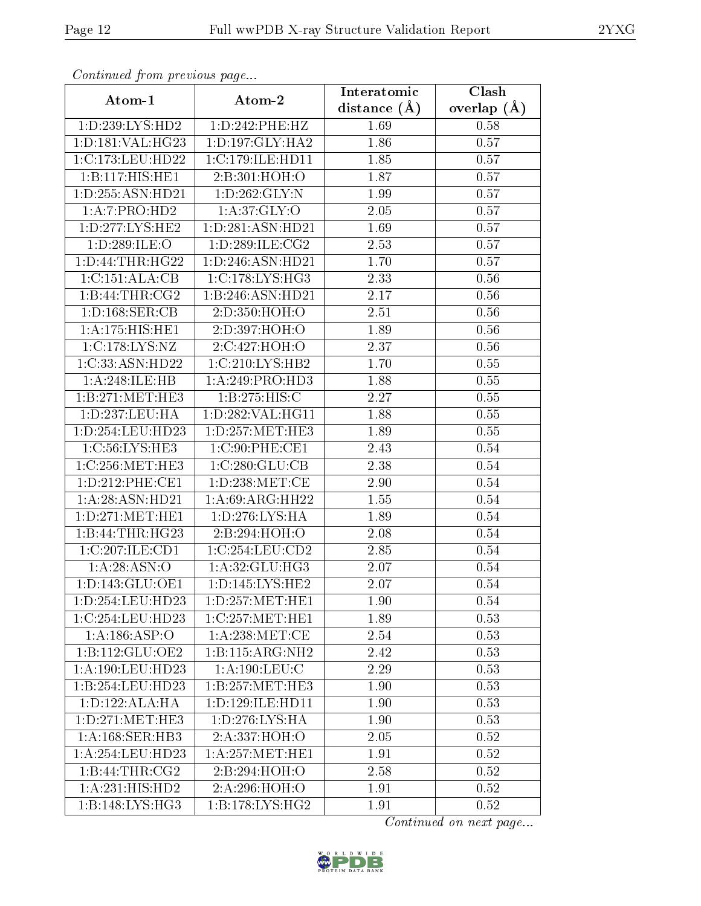| Continuea from previous page<br>Clash<br>Interatomic |                                       |                  |               |
|------------------------------------------------------|---------------------------------------|------------------|---------------|
| Atom-1                                               | Atom-2                                | distance $(\AA)$ | overlap $(A)$ |
| 1:D:239:LYS:HD2                                      | 1:D:242:PHE:HZ                        | 1.69             | 0.58          |
| 1: D: 181: VAL: HG23                                 | 1: D: 197: GLY: HA2                   | 1.86             | 0.57          |
| 1:C:173:LEU:HD22                                     | 1:C:179:ILE:H <sub>D11</sub>          | 1.85             | 0.57          |
| 1:B:117:HIS:HE1                                      | 2:B:301:HOH:O                         | 1.87             | 0.57          |
| 1:D:255:ASN:HD21                                     | 1:D:262:GLY:N                         | 1.99             | 0.57          |
| 1:A:7:PRO:HD2                                        | 1: A:37: GLY:O                        | 2.05             | 0.57          |
| $1: D: 277: LYS: \overline{HE2}$                     | 1:D:281:ASN:HD21                      | 1.69             | 0.57          |
| 1:D:289:ILE:O                                        | 1:D:289:ILE:CG2                       | 2.53             | 0.57          |
| 1: D: 44: THR: HG22                                  | 1:D:246:ASN:HD21                      | 1.70             | 0.57          |
| 1:C:151:ALA:CB                                       | 1:C:178:LYS:HG3                       | 2.33             | 0.56          |
| 1:B:44:THR:CG2                                       | 1:B:246:ASN:HD21                      | 2.17             | 0.56          |
| 1:D:168:SER:CB                                       | 2:D:350:HOH:O                         | 2.51             | 0.56          |
| 1:A:175:HIS:HE1                                      | 2:D:397:HOH:O                         | 1.89             | 0.56          |
| 1:C:178:LYS:NZ                                       | 2:C:427:HOH:O                         | 2.37             | 0.56          |
| 1:C:33:ASN:HD22                                      | 1:C:210:LYS:HB2                       | 1.70             | 0.55          |
| 1: A:248: ILE: HB                                    | 1:A:249:PRO:HD3                       | 1.88             | 0.55          |
| 1:B:271:MET:HE3                                      | 1:B:275:HIS:C                         | 2.27             | 0.55          |
| 1: D: 237: LEU: HA                                   | 1:D:282:VAL:HG11                      | 1.88             | $0.55\,$      |
| 1:D:254:LEU:HD23                                     | 1: D: 257: MET: HE3                   | 1.89             | 0.55          |
| 1:C:56:LYS:HE3                                       | 1:C:90:PHE:CE1                        | 2.43             | 0.54          |
| 1:C:256:MET:HE3                                      | 1:C:280:GLU:CB                        | 2.38             | 0.54          |
| 1: D: 212: PHE: CE1                                  | 1:D:238:MET:CE                        | 2.90             | 0.54          |
| 1:A:28:ASN:HD21                                      | 1: A:69: ARG: HH22                    | 1.55             | 0.54          |
| 1: D: 271: MET: HE1                                  | 1: D: 276: LYS: HA                    | 1.89             | 0.54          |
| 1:B:44:THR:HG23                                      | 2:B:294:HOH:O                         | 2.08             | 0.54          |
| 1:C:207:ILE:CD1                                      | 1:C:254:LEU:CD2                       | 2.85             | 0.54          |
| 1:A:28:ASN:O                                         | 1:A:32:GLU:HG3                        | 2.07             | 0.54          |
| 1:D:143:GLU:OE1                                      | 1: D: 145: LYS: HE2                   | 2.07             | 0.54          |
| 1:D:254:LEU:HD23                                     | 1:D:257:MET:HE1                       | 1.90             | 0.54          |
| 1:C:254:LEU:HD23                                     | 1:C:257:MET:HE1                       | 1.89             | 0.53          |
| 1:A:186:ASP:O                                        | 1: A:238:MET:CE                       | 2.54             | 0.53          |
| 1:B:112:GLU:OE2                                      | 1:B:115:ARG:NH2                       | 2.42             | 0.53          |
| 1:A:190:LEU:HD23                                     | 1: A: 190: LEU: C                     | 2.29             | 0.53          |
| 1:B:254:LEU:HD23                                     | 1:B:257:MET:HE3                       | 1.90             | 0.53          |
| 1: D: 122: ALA: HA                                   | 1: D: 129: ILE: HD11                  | 1.90             | 0.53          |
| 1: D: 271: MET: HE3                                  | $1: D: 276: \overline{\text{LYS:HA}}$ | 1.90             | 0.53          |
| 1:A:168:SER:HB3                                      | 2:A:337:HOH:O                         | 2.05             | 0.52          |
| 1: A:254:LEU:HD23                                    | 1: A:257: MET:HE1                     | 1.91             | 0.52          |
| 1:B:44:THR:CG2                                       | 2:B:294:HOH:O                         | 2.58             | 0.52          |
| 1:A:231:HIS:HD2                                      | 2:A:296:HOH:O                         | 1.91             | 0.52          |
| 1:B:148:LYS:HG3                                      | 1: B: 178: LYS: HG2                   | 1.91             | 0.52          |

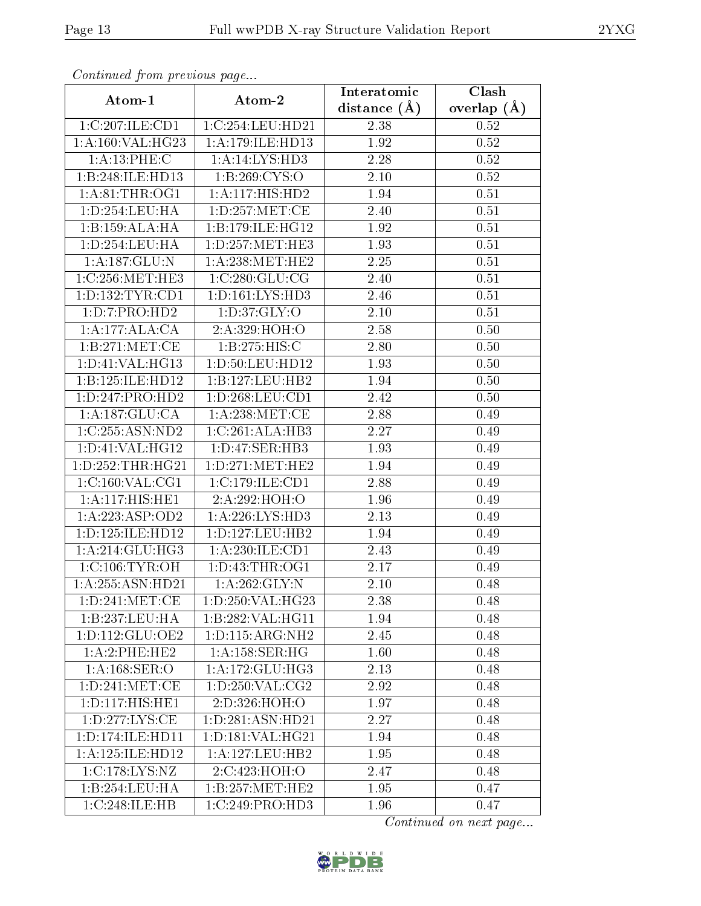| Comunaca jiom previous page |                                | Interatomic    | Clash           |
|-----------------------------|--------------------------------|----------------|-----------------|
| Atom-1                      | Atom-2                         | distance $(A)$ | overlap $(\AA)$ |
| 1:C:207:ILE:CD1             | 1:C:254:LEU:HD21               | 2.38           | 0.52            |
| 1:A:160:VAL:HG23            | 1: A:179: ILE: HD13            | 1.92           | 0.52            |
| 1:A:13:PHE:C                | 1:A:14:LYS:HD3                 | 2.28           | 0.52            |
| 1:B:248:ILE:HD13            | 1:B:269:CYS:O                  | 2.10           | 0.52            |
| 1: A:81:THR:OG1             | 1:A:117:HIS:HD2                | 1.94           | 0.51            |
| 1: D: 254: LEU: HA          | 1: D: 257: MET: CE             | 2.40           | 0.51            |
| 1:B:159:ALA:HA              | 1:B:179:ILE:HG12               | 1.92           | 0.51            |
| 1: D: 254: LEU: HA          | 1: D: 257: MET: HE3            | 1.93           | 0.51            |
| 1: A: 187: GLU: N           | 1: A:238:MET:HE2               | 2.25           | 0.51            |
| 1:C:256:MET:HE3             | 1:C:280:GLU:CG                 | 2.40           | 0.51            |
| 1: D: 132: TYR: CD1         | 1: D: 161: LYS: HD3            | 2.46           | 0.51            |
| 1: D: 7: PRO: HD2           | 1: D: 37: GLY: O               | 2.10           | 0.51            |
| 1:A:177:ALA:CA              | 2:A:329:HOH:O                  | 2.58           | 0.50            |
| 1:B:271:MET:CE              | 1:B:275:HIS:C                  | 2.80           | 0.50            |
| 1: D: 41: VAL:HG13          | 1:D:50:LEU:HD12                | 1.93           | 0.50            |
| 1:B:125:ILE:HD12            | 1:B:127:LEU:HB2                | 1.94           | 0.50            |
| 1:D:247:PRO:HD2             | 1: D: 268: LEU: CD1            | 2.42           | 0.50            |
| 1:A:187:GLU:CA              | 1: A:238:MET:CE                | 2.88           | 0.49            |
| 1:C:255:ASN:ND2             | 1:C:261:ALA:HB3                | 2.27           | 0.49            |
| 1: D: 41: VAL: HG12         | $1: D: 47: SER:H\overline{B3}$ | 1.93           | 0.49            |
| 1: D: 252: THR: HG21        | 1: D: 271: MET: HE2            | 1.94           | 0.49            |
| 1:C:160:VAL:CG1             | 1:C:179:ILE:CD1                | 2.88           | 0.49            |
| 1:A:117:HIS:HE1             | 2:A:292:HOH:O                  | 1.96           | 0.49            |
| 1: A: 223: ASP: OD2         | 1: A:226: LYS: HD3             | 2.13           | 0.49            |
| 1: D: 125: ILE: HD12        | 1: D: 127: LEU: HB2            | 1.94           | 0.49            |
| 1:A:214:GLU:HG3             | 1: A:230: ILE:CD1              | 2.43           | 0.49            |
| 1:C:106:TYR:OH              | 1:D:43:THR:OG1                 | 2.17           | 0.49            |
| 1:A:255:ASN:HD21            | 1:A:262:GLY:N                  | 2.10           | 0.48            |
| 1: D: 241: MET:CE           | 1:D:250:VAL:HG23               | 2.38           | 0.48            |
| 1:B:237:LEU:HA              | 1:B:282:VAL:HG11               | 1.94           | 0.48            |
| 1: D: 112: GLU: OE2         | 1: D: 115: ARG: NH2            | 2.45           | 0.48            |
| 1:A:2:PHE:HE2               | 1: A:158: SER: HG              | 1.60           | 0.48            |
| 1: A: 168: SER: O           | 1: A:172: GLU:HG3              | 2.13           | 0.48            |
| 1: D: 241: MET:CE           | 1: D: 250: VAL: CG2            | 2.92           | 0.48            |
| 1: D: 117: HIS: HE1         | 2:D:326:HOH:O                  | 1.97           | 0.48            |
| 1:D:277:LYS:CE              | 1:D:281:ASN:HD21               | 2.27           | 0.48            |
| 1:D:174:ILE:HD11            | 1: D: 181: VAL: HG21           | 1.94           | 0.48            |
| 1:A:125:ILE:HD12            | 1: A: 127: LEU: HB2            | 1.95           | 0.48            |
| 1:C:178:LYS:NZ              | 2:C:423:HOH:O                  | 2.47           | 0.48            |
| 1:B:254:LEU:HA              | 1:B:257:MET:HE2                | 1.95           | 0.47            |
| 1:C:248:ILE:HB              | 1:C:249:PRO:HD3                | 1.96           | 0.47            |

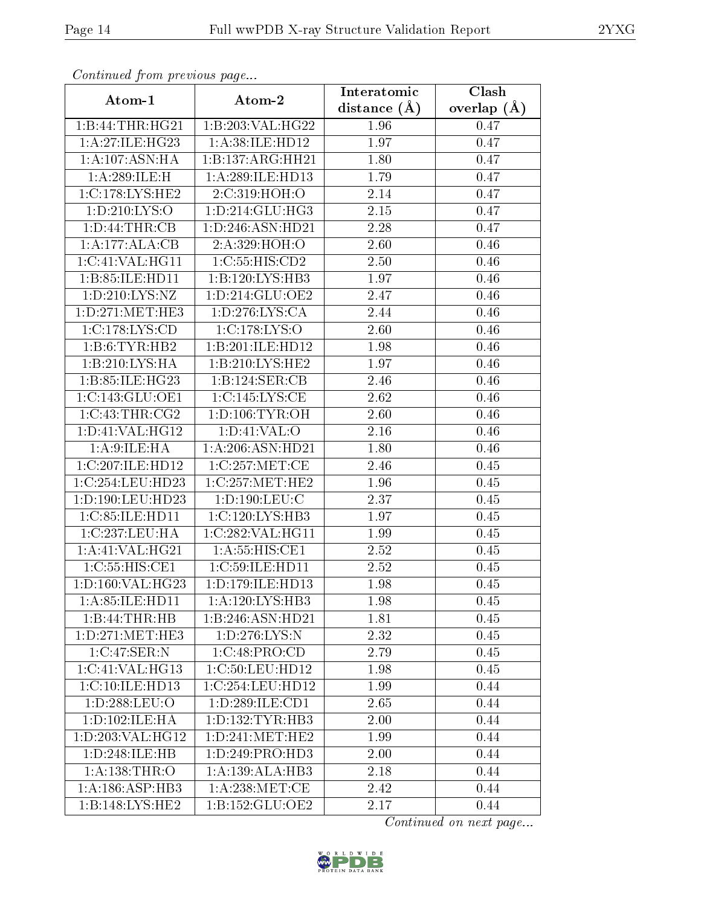| Communa from previous page                     |                                        | Interatomic       | Clash           |
|------------------------------------------------|----------------------------------------|-------------------|-----------------|
| Atom-1                                         | Atom-2                                 | distance $(\AA)$  | overlap $(\AA)$ |
| 1:B:44:THR:HG21                                | $1:B:203:V\overline{\mathrm{AL:HG}22}$ | 1.96              | 0.47            |
| 1:A:27:ILE:HG23                                | 1: A:38: ILE: HD12                     | 1.97              | 0.47            |
| 1:A:107:ASN:HA                                 | 1:B:137:ARG:HH21                       | 1.80              | 0.47            |
| 1: A:289: ILE:H                                | 1:A:289:ILE:HD13                       | 1.79              | 0.47            |
| 1:C:178:LYS:HE2                                | 2.C.319:HOH:O                          | 2.14              | 0.47            |
| 1: D: 210: LYS: O                              | 1: D: 214: GLU: HG3                    | 2.15              | 0.47            |
| 1:D:44:THR:CB                                  | 1:D:246:ASN:HD21                       | $\overline{2}.28$ | 0.47            |
| 1:A:177:ALA:CB                                 | 2:A:329:HOH:O                          | 2.60              | 0.46            |
| 1:C:41:VAL:HG11                                | 1:C:55:HIS:CD2                         | 2.50              | 0.46            |
| 1:B:85:ILE:HD11                                | 1:B:120:LYS:HB3                        | 1.97              | 0.46            |
| 1:D:210:LYS:NZ                                 | 1: D: 214: GLU: OE2                    | 2.47              | 0.46            |
| 1: D: 271: MET: HE3                            | 1: D: 276: LYS: CA                     | 2.44              | 0.46            |
| 1:C:178:LYS:CD                                 | 1:C:178:LYS:O                          | 2.60              | 0.46            |
| 1:B:6:TYR:HB2                                  | 1:B:201:ILE:HD12                       | 1.98              | 0.46            |
| 1:B:210:LYS:HA                                 | 1:B:210:LYS:HE2                        | 1.97              | 0.46            |
| 1:B:85:ILE:HG23                                | 1:B:124:SER:CB                         | 2.46              | 0.46            |
| 1:C:143:GLU:OE1                                | 1:C:145:LYS:CE                         | 2.62              | 0.46            |
| 1:C:43:THR:CG2                                 | 1: D: 106: TYR: OH                     | 2.60              | 0.46            |
| 1: D: 41: VAL: HG12                            | 1: D: 41: VAL: O                       | 2.16              | 0.46            |
| 1: A:9: ILE: HA                                | 1: A:206: ASN:HD21                     | 1.80              | 0.46            |
| 1:C:207:ILE:HD12                               | 1:C:257:MET:CE                         | $\overline{2}.46$ | 0.45            |
| 1:C:254:LEU:HD23                               | 1:C:257:MET:HE2                        | 1.96              | 0.45            |
| 1:D:190:LEU:HD23                               | 1: D: 190: LEU: C                      | 2.37              | 0.45            |
| 1:C:85:ILE:HD11                                | 1:C:120:LYS:HB3                        | $\overline{1.97}$ | 0.45            |
| 1:C:237:LEU:HA                                 | 1:C:282:VAL:HG11                       | 1.99              | 0.45            |
| 1: A:41: VAL: HG21                             | 1: A: 55: HIS: CE1                     | 2.52              | 0.45            |
| 1:C:55:HIS:CE1                                 | 1:C:59:ILE:HD11                        | 2.52              | 0.45            |
| 1: D: 160: VAL: HG23                           | 1: D: 179: ILE: HD13                   | 1.98              | 0.45            |
| 1:A:85:ILE:HD11                                | 1:A:120:LYS:HB3                        | 1.98              | 0.45            |
| 1:B:44:THR:HB                                  | 1:B:246:ASN:HD21                       | 1.81              | 0.45            |
| 1: D: 271: MET: HE3                            | 1: D: 276: LYS: N                      | 2.32              | 0.45            |
| 1:C:47:SER:N                                   | 1:C:48:PRO:CD                          | 2.79              | 0.45            |
| $1:C:41:V\overline{\mathrm{AL}:\mathrm{HG}13}$ | 1:C:50:LEU:HD12                        | 1.98              | 0.45            |
| 1:C:10:ILE:HD13                                | 1:C:254:LEU:HD12                       | 1.99              | 0.44            |
| 1:D:288:LEU:O                                  | 1: D: 289: ILE: CD1                    | 2.65              | 0.44            |
| 1:D:102:ILE:HA                                 | 1: D: 132: TYR: HB3                    | 2.00              | 0.44            |
| 1: D: 203: VAL: HG12                           | 1: D: 241: MET: HE2                    | 1.99              | 0.44            |
| 1:D:248:ILE:HB                                 | 1:D:249:PRO:HD3                        | 2.00              | 0.44            |
| 1: A: 138: THR: O                              | 1: A: 139: ALA: HB3                    | 2.18              | 0.44            |
| 1: A:186: ASP:HB3                              | 1: A:238: MET:CE                       | 2.42              | 0.44            |
| $1:B:148:LY\overline{S:HE2}$                   | 1:B:152:GLU:OE2                        | 2.17              | 0.44            |

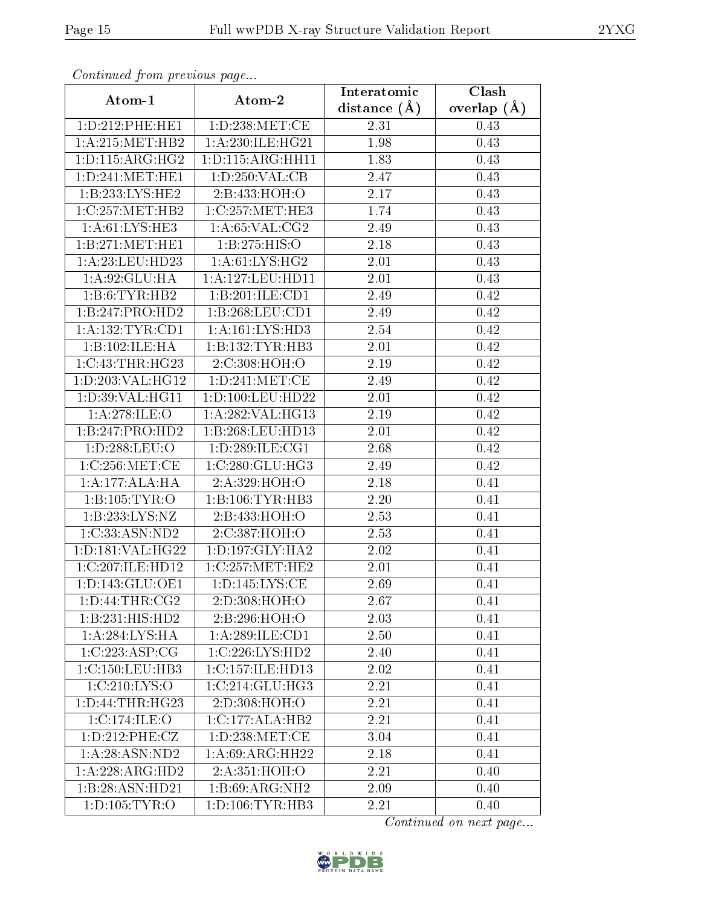| Communa from previous page                   |                      | Interatomic    | Clash           |
|----------------------------------------------|----------------------|----------------|-----------------|
| Atom-1                                       | Atom-2               | distance $(A)$ | overlap $(\AA)$ |
| 1: D: 212: PHE: HE1                          | 1:D:238:MET:CE       | 2.31           | 0.43            |
| $1: A:215: \overline{\text{MET}:\text{HB}2}$ | 1:A:230:ILE:HG21     | 1.98           | 0.43            |
| 1: D: 115: ARG: HG2                          | 1: D: 115: ARG: HH11 | 1.83           | 0.43            |
| 1: D: 241: MET: HE1                          | 1: D: 250: VAL: CB   | 2.47           | 0.43            |
| 1:B:233:LYS:HE2                              | 2:B:433:HOH:O        | 2.17           | 0.43            |
| 1:C:257:MET:HB2                              | 1:C:257:MET:HE3      | 1.74           | 0.43            |
| 1: A:61:LYS:HE3                              | 1: A:65: VAL:CG2     | 2.49           | 0.43            |
| 1:B:271:MET:HE1                              | 1:B:275:HIS:O        | 2.18           | 0.43            |
| 1:A:23:LEU:HD23                              | 1: A:61: LYS: HG2    | 2.01           | 0.43            |
| 1: A:92: GLU: HA                             | 1: A: 127: LEU: HD11 | 2.01           | 0.43            |
| 1:B:6:TYR:HB2                                | 1:B:201:ILE:CD1      | 2.49           | 0.42            |
| 1:B:247:PRO:HD2                              | 1:B:268:LEU:CD1      | 2.49           | 0.42            |
| 1: A: 132: TYR: CD1                          | 1:A:161:LYS:HD3      | 2.54           | 0.42            |
| 1:B:102:ILE:HA                               | 1:B:132:TYR:HB3      | 2.01           | 0.42            |
| 1:C:43:THR:HG23                              | 2:C:308:HOH:O        | 2.19           | 0.42            |
| 1:D:203:VAL:HG12                             | 1: D: 241: MET: CE   | 2.49           | 0.42            |
| 1: D:39: VAL:HGI1                            | 1: D: 100: LEU: HD22 | 2.01           | 0.42            |
| 1:A:278:ILE:O                                | 1:A:282:VAL:HG13     | 2.19           | 0.42            |
| 1:B:247:PRO:HD2                              | 1:B:268:LEU:HD13     | 2.01           | 0.42            |
| 1:D:288:LEU:O                                | 1: D: 289: ILE: CG1  | 2.68           | 0.42            |
| 1:C:256:MET:CE                               | 1:C:280:GLU:HG3      | 2.49           | 0.42            |
| 1:A:177:ALA:HA                               | 2:A:329:HOH:O        | 2.18           | 0.41            |
| 1: B: 105: TYR: O                            | 1:B:106:TYR:HB3      | 2.20           | 0.41            |
| 1:B:233:LYS:NZ                               | 2:B:433:HOH:O        | 2.53           | 0.41            |
| 1:C:33:ASN:ND2                               | 2:C:387:HOH:O        | 2.53           | 0.41            |
| 1:D:181:VAL:HG22                             | 1: D: 197: GLY: HA2  | 2.02           | 0.41            |
| 1:C:207:ILE:HD12                             | 1:C:257:MET:HE2      | 2.01           | 0.41            |
| 1:D:143:GLU:OE1                              | 1: D: 145: LYS: CE   | 2.69           | 0.41            |
| 1: D: 44: THR: CG2                           | 2:D:308:HOH:O        | 2.67           | 0.41            |
| 1:B:231:HIS:HD2                              | 2:B:296:HOH:O        | 2.03           | 0.41            |
| 1:A:284:LYS:HA                               | $1:A:289:ILE:$ CD1   | 2.50           | 0.41            |
| 1:C:223:ASP:CG                               | 1:C:226:LYS:HD2      | 2.40           | 0.41            |
| 1:C:150:LEU:HB3                              | 1:C:157:ILE:HD13     | 2.02           | 0.41            |
| 1:C:210:LYS:O                                | 1:C:214:GLU:HG3      | 2.21           | 0.41            |
| 1: D: 44: THR: HG23                          | 2:D:308:HOH:O        | 2.21           | 0.41            |
| 1:C:174:ILE:O                                | 1:C:177:ALA:HB2      | 2.21           | 0.41            |
| 1:D:212:PHE:CZ                               | 1: D: 238: MET:CE    | 3.04           | 0.41            |
| 1: A:28: ASN:ND2                             | 1: A:69: ARG: HH22   | 2.18           | 0.41            |
| 1:A:228:ARG:HD2                              | 2:A:351:HOH:O        | 2.21           | 0.40            |
| 1:B:28:ASN:HD21                              | 1:B:69:ARG:NH2       | 2.09           | 0.40            |
| 1: D: 105: TYR: O                            | 1: D: 106: TYR: HB3  | 2.21           | 0.40            |

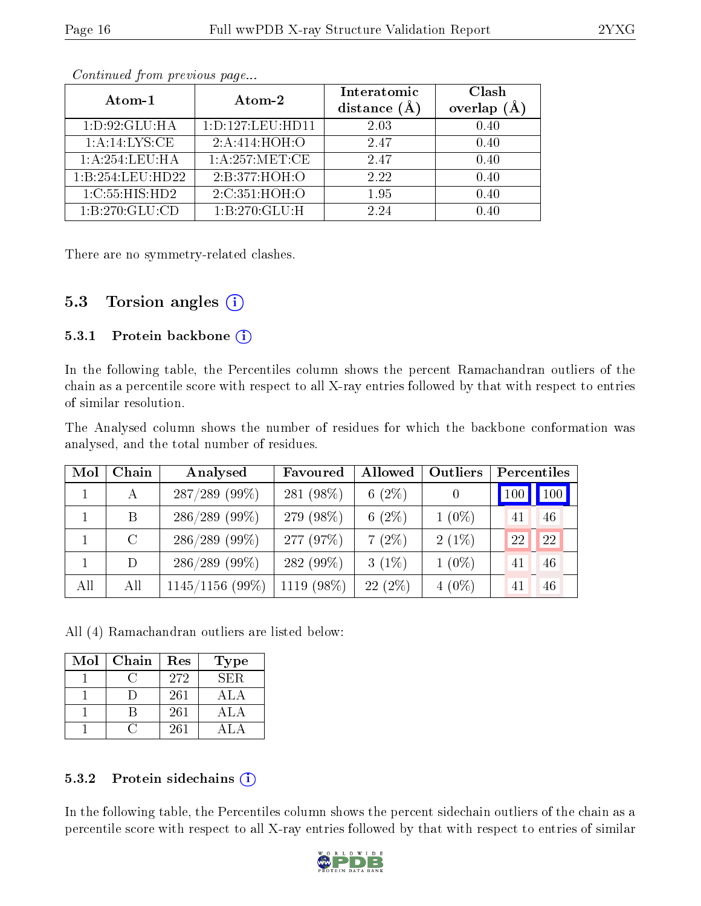|                    |                      | Interatomic    | Clash   |
|--------------------|----------------------|----------------|---------|
| Atom-1             | Atom-2               | distance $(A)$ | overlap |
| 1: D:92: GLU: HA   | 1: D: 127: LEU: HD11 | 2.03           | 0.40    |
| 1: A:14:LYS:CE     | 2:A:414:HOH:O        | 2.47           | 0.40    |
| 1:A:254:LEU:HA     | 1:A:257:MET:CE       | 2.47           | 0.40    |
| 1:B:254:LEU:HD22   | 2:B:377:HOH:O        | 2.22           | 0.40    |
| 1: C: 55: HIS: HD2 | 2:C:351:HOH:O        | 1.95           | 0.40    |
| 1:B:270:GLU:CD     | 1:B:270:GLU:H        | 2.24           | N 40    |

There are no symmetry-related clashes.

#### 5.3 Torsion angles  $(i)$

#### 5.3.1 Protein backbone (i)

In the following table, the Percentiles column shows the percent Ramachandran outliers of the chain as a percentile score with respect to all X-ray entries followed by that with respect to entries of similar resolution.

The Analysed column shows the number of residues for which the backbone conformation was analysed, and the total number of residues.

| Mol | Chain   | Analysed          | Favoured   | Allowed   | Outliers |    | Percentiles |
|-----|---------|-------------------|------------|-----------|----------|----|-------------|
|     | А       | $287/289$ (99%)   | 281 (98%)  | $6(2\%)$  | $\theta$ |    | 100 100     |
|     | B       | $286/289$ (99%)   | 279 (98%)  | 6 $(2\%)$ | $1(0\%)$ | 41 | 46          |
|     | $\rm C$ | $286/289$ (99%)   | 277 (97%)  | $7(2\%)$  | $2(1\%)$ | 22 | 22          |
|     | D       | $286/289$ (99%)   | 282 (99%)  | $3(1\%)$  | $1(0\%)$ | 41 | 46          |
| All | All     | $1145/1156$ (99%) | 1119 (98%) | $22(2\%)$ | $4(0\%)$ | 41 | 46          |

All (4) Ramachandran outliers are listed below:

| Mol | Chain | Res | <b>Type</b> |
|-----|-------|-----|-------------|
|     |       | 272 | SER.        |
|     |       | 261 | ALA         |
|     |       | 261 | ALA         |
|     |       | 261 |             |

#### 5.3.2 Protein sidechains  $(i)$

In the following table, the Percentiles column shows the percent sidechain outliers of the chain as a percentile score with respect to all X-ray entries followed by that with respect to entries of similar

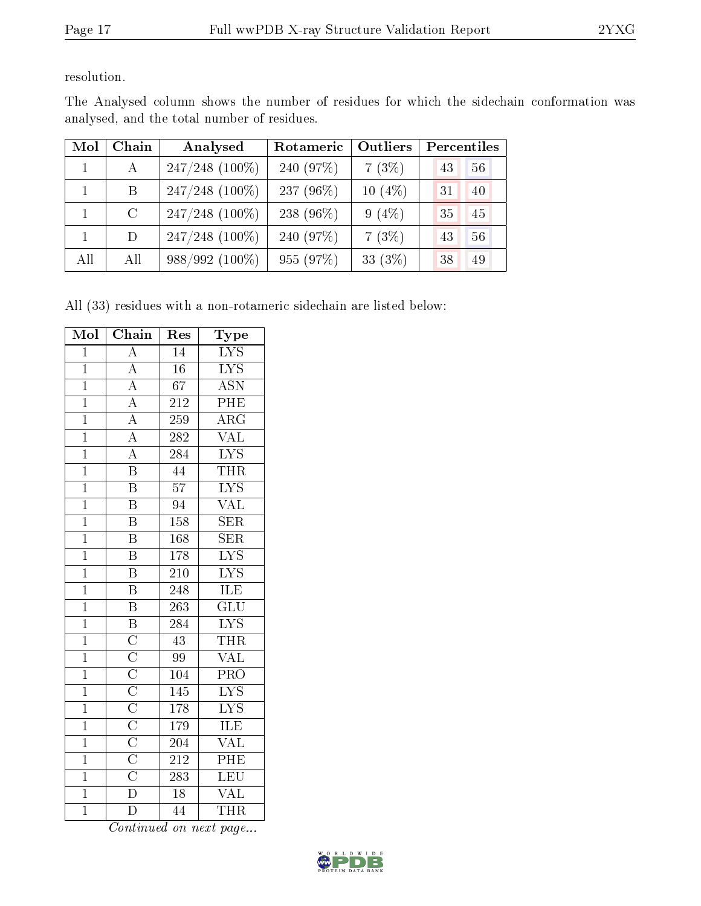resolution.

| Mol          | Chain         | Analysed         | Rotameric | <b>Outliers</b> | Percentiles |    |
|--------------|---------------|------------------|-----------|-----------------|-------------|----|
| $\mathbf{1}$ | $\mathbf{A}$  | $247/248$ (100%) | 240 (97%) | 7(3%)           | 43          | 56 |
| $\mathbf{1}$ | - B           | $247/248$ (100%) | 237 (96%) | 10 $(4\%)$      | 31          | 40 |
| $\mathbf{1}$ | $\mathcal{C}$ | $247/248$ (100%) | 238 (96%) | $9(4\%)$        | 35          | 45 |
| $\mathbf{1}$ | D             | $247/248$ (100%) | 240 (97%) | 7(3%)           | 43          | 56 |
| All          | All           | $988/992(100\%)$ | 955 (97%) | 33 (3%)         | 38          | 49 |

The Analysed column shows the number of residues for which the sidechain conformation was analysed, and the total number of residues.

All (33) residues with a non-rotameric sidechain are listed below:

| Mol            | Chain                                                                                                                                                                                                 | Res              | Type                      |
|----------------|-------------------------------------------------------------------------------------------------------------------------------------------------------------------------------------------------------|------------------|---------------------------|
| $\overline{1}$ | $\overline{A}$                                                                                                                                                                                        | $\overline{14}$  | $\overline{\text{LYS}}$   |
| $\overline{1}$ | $\overline{A}$                                                                                                                                                                                        | $\overline{16}$  | $\overline{\text{LYS}}$   |
| $\overline{1}$ | $\overline{A}$                                                                                                                                                                                        | $\overline{67}$  | $\overline{\mathrm{ASN}}$ |
| $\overline{1}$ |                                                                                                                                                                                                       | $\overline{212}$ | PHE                       |
| $\overline{1}$ | $\frac{\overline{A}}{\overline{A}}$                                                                                                                                                                   | 259              | $\overline{\rm{ARG}}$     |
| $\overline{1}$ | $\frac{\overline{A}}{\overline{A}}$                                                                                                                                                                   | 282              | $\overline{\text{VAL}}$   |
| $\overline{1}$ |                                                                                                                                                                                                       | 284              | $\overline{\text{LYS}}$   |
| $\mathbf{1}$   | $\overline{\text{B}}$                                                                                                                                                                                 | $\overline{44}$  | <b>THR</b>                |
| $\overline{1}$ | $\overline{\mathrm{B}}$                                                                                                                                                                               | $\overline{57}$  | $\overline{\text{LYS}}$   |
| $\overline{1}$ | $\overline{\mathrm{B}}$                                                                                                                                                                               | 94               | $\overline{\text{VAL}}$   |
| $\overline{1}$ | $\overline{\mathrm{B}}$                                                                                                                                                                               | 158              | $\overline{\text{SER}}$   |
| $\overline{1}$ | $\overline{\mathrm{B}}$                                                                                                                                                                               | 168              | $\overline{\text{SER}}$   |
| $\overline{1}$ | $\overline{\mathrm{B}}$                                                                                                                                                                               | 178              | $\overline{\rm LYS}$      |
| $\overline{1}$ | $\overline{\mathbf{B}}$                                                                                                                                                                               | 210              | $\overline{\text{LYS}}$   |
| $\overline{1}$ | $\overline{\text{B}}$                                                                                                                                                                                 | $\overline{248}$ | ILE                       |
| $\mathbf 1$    | $\overline{\mathrm{B}}$                                                                                                                                                                               | 263              | $\overline{{\rm GLU}}$    |
| $\overline{1}$ | $\overline{\mathbf{B}}$                                                                                                                                                                               | 284              | $\overline{\text{LYS}}$   |
| $\overline{1}$ | $\overline{C}$                                                                                                                                                                                        | $\overline{43}$  | <b>THR</b>                |
| $\overline{1}$ |                                                                                                                                                                                                       | 99               | <b>VAL</b>                |
| $\overline{1}$ | $\overline{\text{C}}$ $\overline{\text{C}}$ $\overline{\text{C}}$ $\overline{\text{C}}$ $\overline{\text{C}}$ $\overline{\text{C}}$ $\overline{\text{C}}$ $\overline{\text{C}}$ $\overline{\text{C}}$ | $\overline{104}$ | PRO                       |
| $\overline{1}$ |                                                                                                                                                                                                       | 145              | $\overline{\text{LYS}}$   |
| $\mathbf 1$    |                                                                                                                                                                                                       | 178              | $\overline{\text{LYS}}$   |
| $\overline{1}$ |                                                                                                                                                                                                       | 179              | $\overline{\text{ILE}}$   |
| $\mathbf 1$    |                                                                                                                                                                                                       | 204              | <b>VAL</b>                |
| $\mathbf 1$    |                                                                                                                                                                                                       | $2\overline{12}$ | $\overline{\text{PHE}}$   |
| $\overline{1}$ |                                                                                                                                                                                                       | 283              | LEU                       |
| $\overline{1}$ | $\overline{\rm D}$                                                                                                                                                                                    | $\overline{18}$  | VAL                       |
| $\overline{1}$ | $\bar{\rm D}$                                                                                                                                                                                         | 44               | <b>THR</b>                |

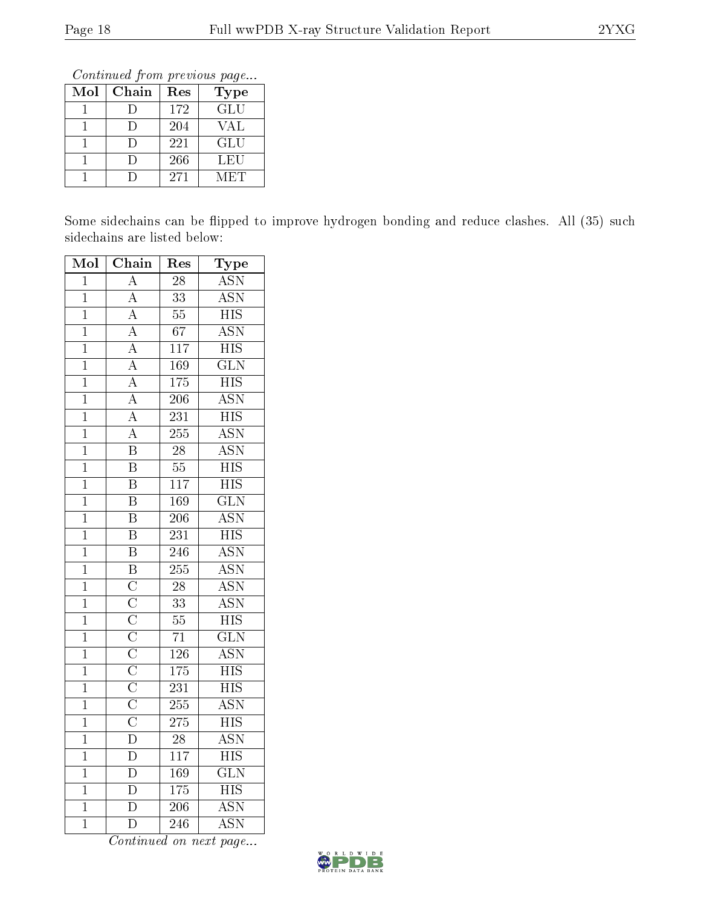Continued from previous page...

| Mol | Chain | Res | Type       |
|-----|-------|-----|------------|
|     |       | 172 | GLU        |
|     |       | 204 | VAL        |
|     |       | 221 | <b>GLU</b> |
|     |       | 266 | LEU        |
|     |       | 271 | MET        |

Some sidechains can be flipped to improve hydrogen bonding and reduce clashes. All (35) such sidechains are listed below:

| Mol            | Chain                                                                                                                                                                           | Res              | Type                      |
|----------------|---------------------------------------------------------------------------------------------------------------------------------------------------------------------------------|------------------|---------------------------|
| $\overline{1}$ | $\overline{\rm A}$                                                                                                                                                              | $\overline{28}$  | <b>ASN</b>                |
| $\overline{1}$ |                                                                                                                                                                                 | $\overline{33}$  | $\overline{\text{ASN}}$   |
| $\overline{1}$ |                                                                                                                                                                                 | $\overline{55}$  | $\overline{\mathrm{HIS}}$ |
| $\overline{1}$ | $\frac{\overline{A}}{\overline{A}}$<br>$\frac{\overline{A}}{\overline{A}}$                                                                                                      | $\overline{67}$  | $\overline{\mathrm{ASN}}$ |
| $\overline{1}$ |                                                                                                                                                                                 | $1\overline{17}$ | $\overline{\mathrm{HIS}}$ |
| $\overline{1}$ |                                                                                                                                                                                 | 169              | $\overline{\text{GLN}}$   |
| $\overline{1}$ |                                                                                                                                                                                 | 175              | $\overline{\mathrm{HIS}}$ |
| $\overline{1}$ |                                                                                                                                                                                 | $\overline{206}$ | $\overline{\mathrm{ASN}}$ |
| $\overline{1}$ | $\frac{\overline{A}}{\overline{A}}$ $\frac{\overline{A}}{\overline{A}}$                                                                                                         | $\overline{231}$ | $\overline{HIS}$          |
| $\overline{1}$ | $\overline{A}$                                                                                                                                                                  | $\overline{255}$ | <b>ASN</b>                |
| $\overline{1}$ | $\overline{\mathrm{B}}$                                                                                                                                                         | $\overline{28}$  | $\overline{\text{ASN}}$   |
| $\overline{1}$ | $\overline{\mathrm{B}}$                                                                                                                                                         | $\overline{55}$  | <b>HIS</b>                |
| $\mathbf{1}$   | $\overline{\mathrm{B}}$                                                                                                                                                         | 117              | $\overline{\mathrm{HIS}}$ |
| $\overline{1}$ | $\overline{\mathrm{B}}$                                                                                                                                                         | 169              | $\overline{\text{GLN}}$   |
| $\mathbf{1}$   | $\overline{\mathbf{B}}$                                                                                                                                                         | $\overline{206}$ | $\overline{\rm ASN}$      |
| $\overline{1}$ | $\overline{\mathrm{B}}$                                                                                                                                                         | $\overline{231}$ | $\overline{\mathrm{HIS}}$ |
| $\overline{1}$ | $\overline{\mathbf{B}}$                                                                                                                                                         | 246              | $\overline{\text{ASN}}$   |
| $\overline{1}$ | $\overline{\mathbf{B}}$                                                                                                                                                         | $\overline{255}$ | $\overline{\text{ASN}}$   |
| $\overline{1}$ |                                                                                                                                                                                 | $\overline{28}$  | $\overline{\mathrm{ASN}}$ |
| $\overline{1}$ |                                                                                                                                                                                 | $\overline{33}$  | $\overline{\mathrm{ASN}}$ |
| $\overline{1}$ |                                                                                                                                                                                 | $\overline{55}$  | $\overline{HIS}$          |
| $\overline{1}$ |                                                                                                                                                                                 | $\overline{71}$  | $\overline{\text{GLN}}$   |
| $\overline{1}$ |                                                                                                                                                                                 | $\overline{126}$ | $\overline{\text{ASN}}$   |
| $\overline{1}$ | $\overline{\text{C}}$ $\overline{\text{C}}$ $\overline{\text{C}}$ $\overline{\text{C}}$ $\overline{\text{C}}$ $\overline{\text{C}}$ $\overline{\text{C}}$ $\overline{\text{C}}$ | $\overline{175}$ | $\overline{HIS}$          |
| $\overline{1}$ |                                                                                                                                                                                 | 231              | $\overline{\mathrm{HIS}}$ |
| $\overline{1}$ |                                                                                                                                                                                 | $\overline{255}$ | $\overline{\mathrm{ASN}}$ |
| $\overline{1}$ | $\overline{\rm C}$                                                                                                                                                              | $\overline{275}$ | $\overline{\mathrm{HIS}}$ |
| $\overline{1}$ | $\overline{\rm D}$                                                                                                                                                              | $\overline{28}$  | $\overline{\mathrm{ASN}}$ |
| $\overline{1}$ | $\overline{\rm D}$                                                                                                                                                              | $\overline{117}$ | $\overline{\mathrm{HIS}}$ |
| $\overline{1}$ | $\overline{\rm D}$                                                                                                                                                              | 169              | $\overline{\text{GLN}}$   |
| $\mathbf{1}$   | $\overline{\rm D}$                                                                                                                                                              | $\overline{175}$ | $\overline{\mathrm{HIS}}$ |
| $\mathbf 1$    | $\overline{\rm D}$                                                                                                                                                              | $\overline{206}$ | $\overline{\mathrm{ASN}}$ |
| $\overline{1}$ | $\overline{\rm D}$                                                                                                                                                              | $\overline{246}$ | $\overline{\rm ASN}$      |

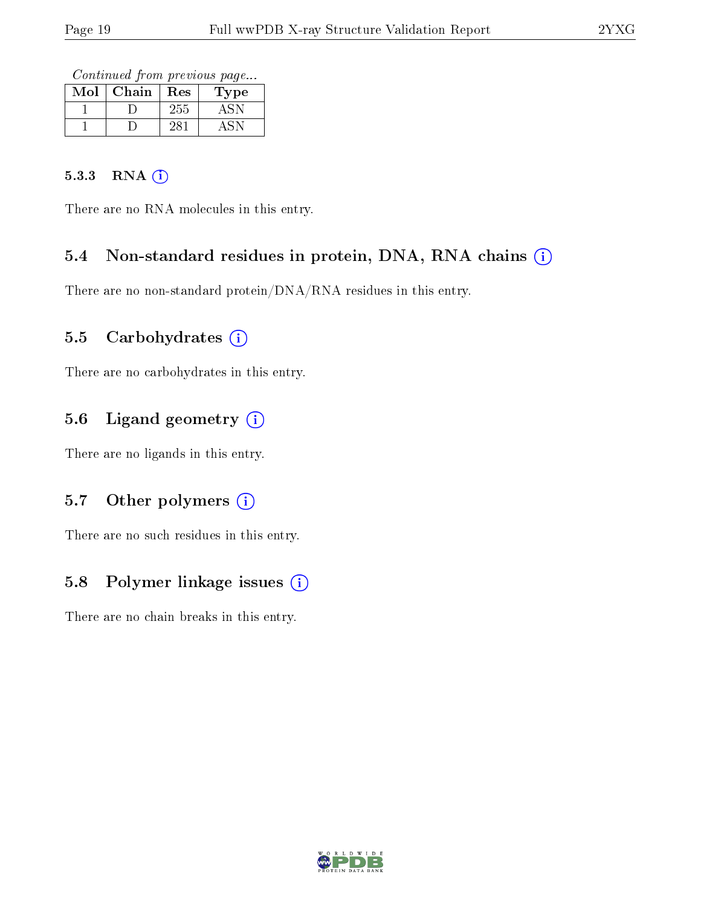Continued from previous page...

| Mol | Chain | Res | 1'ype |
|-----|-------|-----|-------|
|     |       | 255 |       |
|     |       |     |       |

#### 5.3.3 RNA (i)

There are no RNA molecules in this entry.

## 5.4 Non-standard residues in protein, DNA, RNA chains (i)

There are no non-standard protein/DNA/RNA residues in this entry.

#### 5.5 Carbohydrates  $(i)$

There are no carbohydrates in this entry.

## 5.6 Ligand geometry (i)

There are no ligands in this entry.

#### 5.7 [O](https://www.wwpdb.org/validation/2017/XrayValidationReportHelp#nonstandard_residues_and_ligands)ther polymers  $(i)$

There are no such residues in this entry.

## 5.8 Polymer linkage issues (i)

There are no chain breaks in this entry.